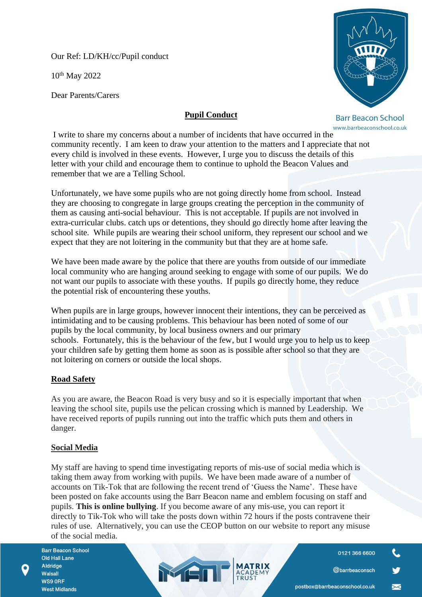Our Ref: LD/KH/cc/Pupil conduct

10th May 2022

Dear Parents/Carers

# **Pupil Conduct**

**Barr Beacon School** www.barrbeaconschool.co.uk

I write to share my concerns about a number of incidents that have occurred in the community recently. I am keen to draw your attention to the matters and I appreciate that not every child is involved in these events. However, I urge you to discuss the details of this letter with your child and encourage them to continue to uphold the Beacon Values and remember that we are a Telling School.

Unfortunately, we have some pupils who are not going directly home from school. Instead they are choosing to congregate in large groups creating the perception in the community of them as causing anti-social behaviour. This is not acceptable. If pupils are not involved in extra-curricular clubs. catch ups or detentions, they should go directly home after leaving the school site. While pupils are wearing their school uniform, they represent our school and we expect that they are not loitering in the community but that they are at home safe.

We have been made aware by the police that there are youths from outside of our immediate local community who are hanging around seeking to engage with some of our pupils. We do not want our pupils to associate with these youths. If pupils go directly home, they reduce the potential risk of encountering these youths.

When pupils are in large groups, however innocent their intentions, they can be perceived as intimidating and to be causing problems. This behaviour has been noted of some of our pupils by the local community, by local business owners and our primary schools. Fortunately, this is the behaviour of the few, but I would urge you to help us to keep your children safe by getting them home as soon as is possible after school so that they are not loitering on corners or outside the local shops.

## **Road Safety**

As you are aware, the Beacon Road is very busy and so it is especially important that when leaving the school site, pupils use the pelican crossing which is manned by Leadership. We have received reports of pupils running out into the traffic which puts them and others in danger.

## **Social Media**

My staff are having to spend time investigating reports of mis-use of social media which is taking them away from working with pupils. We have been made aware of a number of accounts on Tik-Tok that are following the recent trend of 'Guess the Name'. These have been posted on fake accounts using the Barr Beacon name and emblem focusing on staff and pupils. **This is online bullying**. If you become aware of any mis-use, you can report it directly to Tik-Tok who will take the posts down within 72 hours if the posts contravene their rules of use. Alternatively, you can use the CEOP button on our website to report any misuse of the social media.

MEN

0121 366 6600

 $\overline{\mathbb{X}}$ 

@barrbeaconsch